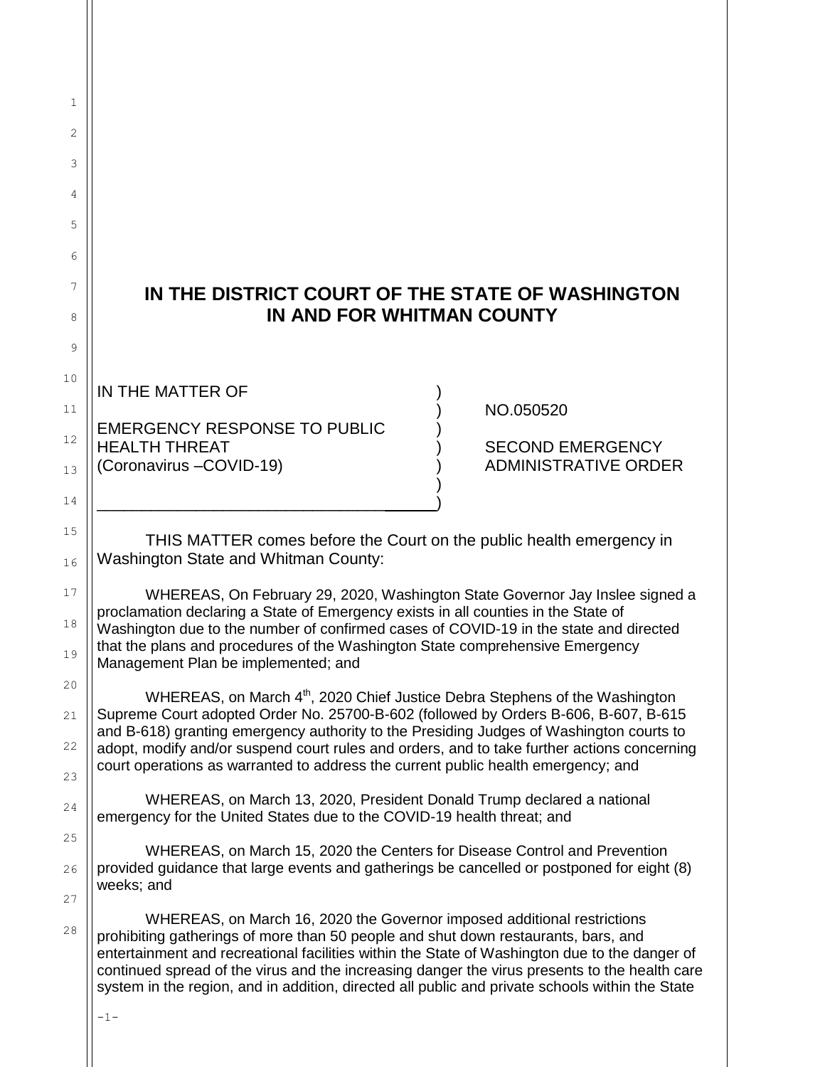## **IN THE DISTRICT COURT OF THE STATE OF WASHINGTON IN AND FOR WHITMAN COUNTY**

IN THE MATTER OF

1

2

3

4

5

6

7

8

9

10

11

12

13

14

15

16

17

18

19

20

21

22

23

24

25

26

27

28

EMERGENCY RESPONSE TO PUBLIC ) HEALTH THREAT ) SECOND EMERGENCY (Coronavirus –COVID-19) (Coronavirus –COVID-19)

 $)$ \_\_\_\_\_\_\_\_\_\_\_\_\_\_\_\_\_\_\_\_\_\_\_\_\_\_\_\_\_\_\_\_ ) ) NO.050520

THIS MATTER comes before the Court on the public health emergency in Washington State and Whitman County:

WHEREAS, On February 29, 2020, Washington State Governor Jay Inslee signed a proclamation declaring a State of Emergency exists in all counties in the State of Washington due to the number of confirmed cases of COVID-19 in the state and directed that the plans and procedures of the Washington State comprehensive Emergency Management Plan be implemented; and

WHEREAS, on March 4<sup>th</sup>, 2020 Chief Justice Debra Stephens of the Washington Supreme Court adopted Order No. 25700-B-602 (followed by Orders B-606, B-607, B-615 and B-618) granting emergency authority to the Presiding Judges of Washington courts to adopt, modify and/or suspend court rules and orders, and to take further actions concerning court operations as warranted to address the current public health emergency; and

WHEREAS, on March 13, 2020, President Donald Trump declared a national emergency for the United States due to the COVID-19 health threat; and

WHEREAS, on March 15, 2020 the Centers for Disease Control and Prevention provided guidance that large events and gatherings be cancelled or postponed for eight (8) weeks; and

WHEREAS, on March 16, 2020 the Governor imposed additional restrictions prohibiting gatherings of more than 50 people and shut down restaurants, bars, and entertainment and recreational facilities within the State of Washington due to the danger of continued spread of the virus and the increasing danger the virus presents to the health care system in the region, and in addition, directed all public and private schools within the State

-1-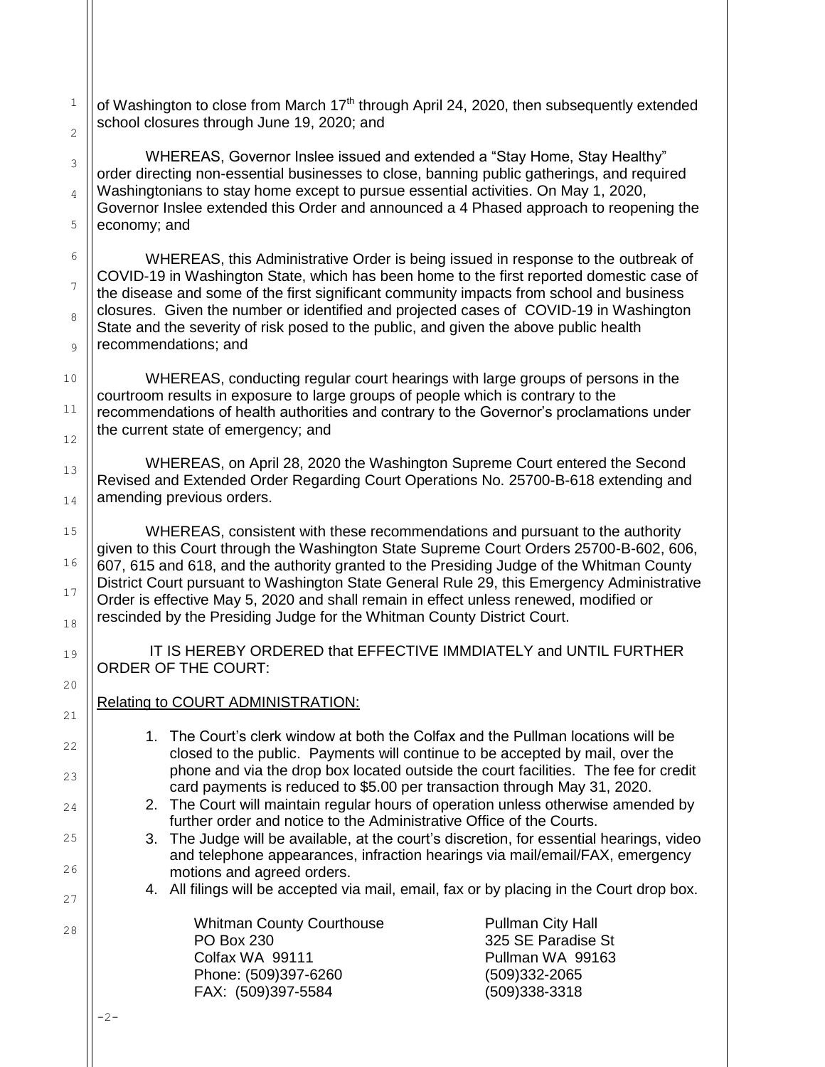1 2 3 4 of Washington to close from March  $17<sup>th</sup>$  through April 24, 2020, then subsequently extended school closures through June 19, 2020; and WHEREAS, Governor Inslee issued and extended a "Stay Home, Stay Healthy" order directing non-essential businesses to close, banning public gatherings, and required Washingtonians to stay home except to pursue essential activities. On May 1, 2020, Governor Inslee extended this Order and announced a 4 Phased approach to reopening the

5 economy; and

6

7

8

9

10

11

12

13

14

15

16

17

18

19

20

21

22

23

24

25

26

27

28

WHEREAS, this Administrative Order is being issued in response to the outbreak of COVID-19 in Washington State, which has been home to the first reported domestic case of the disease and some of the first significant community impacts from school and business closures. Given the number or identified and projected cases of COVID-19 in Washington State and the severity of risk posed to the public, and given the above public health recommendations; and

WHEREAS, conducting regular court hearings with large groups of persons in the courtroom results in exposure to large groups of people which is contrary to the recommendations of health authorities and contrary to the Governor's proclamations under the current state of emergency; and

WHEREAS, on April 28, 2020 the Washington Supreme Court entered the Second Revised and Extended Order Regarding Court Operations No. 25700-B-618 extending and amending previous orders.

WHEREAS, consistent with these recommendations and pursuant to the authority given to this Court through the Washington State Supreme Court Orders 25700-B-602, 606, 607, 615 and 618, and the authority granted to the Presiding Judge of the Whitman County District Court pursuant to Washington State General Rule 29, this Emergency Administrative Order is effective May 5, 2020 and shall remain in effect unless renewed, modified or rescinded by the Presiding Judge for the Whitman County District Court.

IT IS HEREBY ORDERED that EFFECTIVE IMMDIATELY and UNTIL FURTHER ORDER OF THE COURT:

## Relating to COURT ADMINISTRATION:

- 1. The Court's clerk window at both the Colfax and the Pullman locations will be closed to the public. Payments will continue to be accepted by mail, over the phone and via the drop box located outside the court facilities. The fee for credit card payments is reduced to \$5.00 per transaction through May 31, 2020.
- 2. The Court will maintain regular hours of operation unless otherwise amended by further order and notice to the Administrative Office of the Courts.
- 3. The Judge will be available, at the court's discretion, for essential hearings, video and telephone appearances, infraction hearings via mail/email/FAX, emergency motions and agreed orders.
- 4. All filings will be accepted via mail, email, fax or by placing in the Court drop box.

Whitman County Courthouse **Pullman City Hall** PO Box 230 325 SE Paradise St Colfax WA 99111 **Pullman WA 99163** Phone: (509)397-6260 (509)332-2065 FAX: (509)397-5584 (509)338-3318

-2-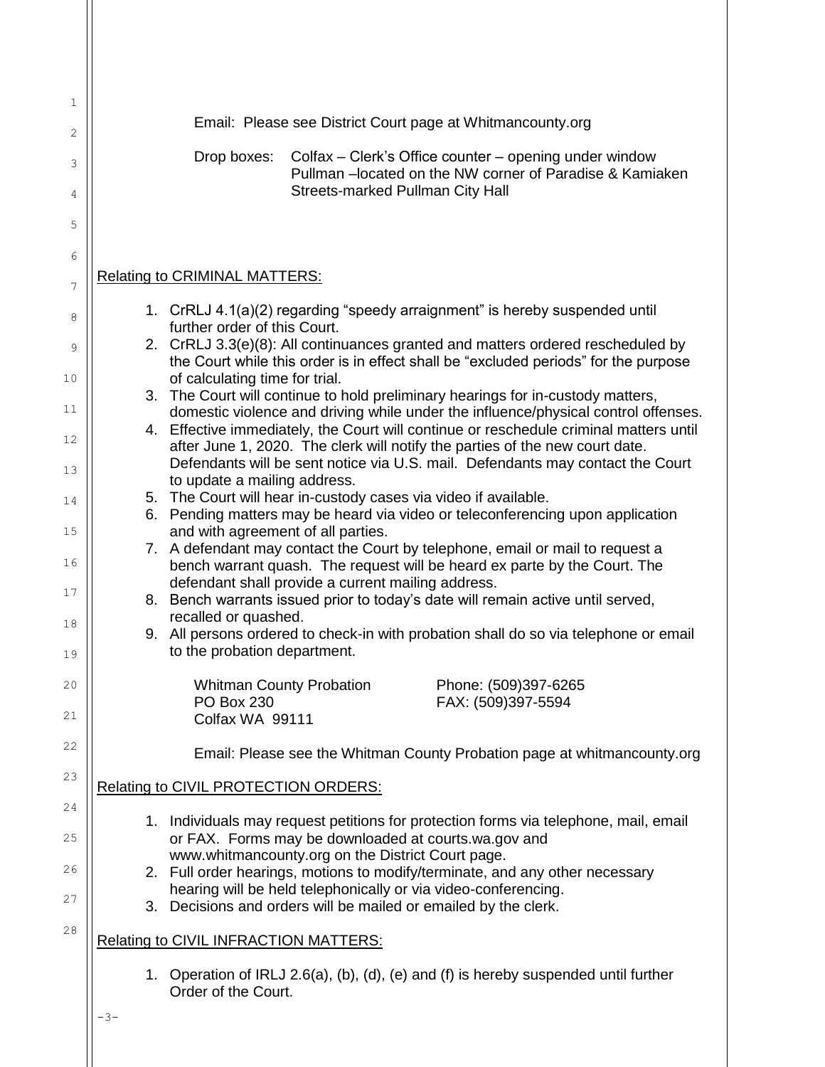|     |                                                                                                                                                                              | Email: Please see District Court page at Whitmancounty.org                                                                                                     |  |
|-----|------------------------------------------------------------------------------------------------------------------------------------------------------------------------------|----------------------------------------------------------------------------------------------------------------------------------------------------------------|--|
|     | Drop boxes:                                                                                                                                                                  | Colfax – Clerk's Office counter – opening under window                                                                                                         |  |
|     |                                                                                                                                                                              | Pullman - located on the NW corner of Paradise & Kamiaken<br>Streets-marked Pullman City Hall                                                                  |  |
|     |                                                                                                                                                                              |                                                                                                                                                                |  |
|     | <b>Relating to CRIMINAL MATTERS:</b>                                                                                                                                         |                                                                                                                                                                |  |
|     |                                                                                                                                                                              |                                                                                                                                                                |  |
|     | further order of this Court.                                                                                                                                                 | 1. CrRLJ 4.1(a)(2) regarding "speedy arraignment" is hereby suspended until                                                                                    |  |
|     | 2. CrRLJ 3.3(e)(8): All continuances granted and matters ordered rescheduled by<br>the Court while this order is in effect shall be "excluded periods" for the purpose       |                                                                                                                                                                |  |
|     | of calculating time for trial.                                                                                                                                               | 3. The Court will continue to hold preliminary hearings for in-custody matters,                                                                                |  |
|     | domestic violence and driving while under the influence/physical control offenses.<br>4. Effective immediately, the Court will continue or reschedule criminal matters until |                                                                                                                                                                |  |
|     | to update a mailing address.                                                                                                                                                 | after June 1, 2020. The clerk will notify the parties of the new court date.<br>Defendants will be sent notice via U.S. mail. Defendants may contact the Court |  |
| 5.  |                                                                                                                                                                              | The Court will hear in-custody cases via video if available.                                                                                                   |  |
|     |                                                                                                                                                                              | 6. Pending matters may be heard via video or teleconferencing upon application                                                                                 |  |
|     | and with agreement of all parties.                                                                                                                                           | 7. A defendant may contact the Court by telephone, email or mail to request a<br>bench warrant quash. The request will be heard ex parte by the Court. The     |  |
|     |                                                                                                                                                                              | defendant shall provide a current mailing address.<br>8. Bench warrants issued prior to today's date will remain active until served,                          |  |
|     | recalled or quashed.                                                                                                                                                         |                                                                                                                                                                |  |
|     | to the probation department.                                                                                                                                                 | 9. All persons ordered to check-in with probation shall do so via telephone or email                                                                           |  |
|     | PO Box 230<br>Colfax WA 99111                                                                                                                                                | Phone: (509)397-6265<br><b>Whitman County Probation</b><br>FAX: (509)397-5594                                                                                  |  |
|     |                                                                                                                                                                              | Email: Please see the Whitman County Probation page at whitmancounty.org                                                                                       |  |
|     | Relating to CIVIL PROTECTION ORDERS:                                                                                                                                         |                                                                                                                                                                |  |
|     |                                                                                                                                                                              | 1. Individuals may request petitions for protection forms via telephone, mail, email<br>or FAX. Forms may be downloaded at courts.wa.gov and                   |  |
|     |                                                                                                                                                                              | www.whitmancounty.org on the District Court page.<br>2. Full order hearings, motions to modify/terminate, and any other necessary                              |  |
|     |                                                                                                                                                                              | hearing will be held telephonically or via video-conferencing.<br>3. Decisions and orders will be mailed or emailed by the clerk.                              |  |
|     | <b>Relating to CIVIL INFRACTION MATTERS:</b>                                                                                                                                 |                                                                                                                                                                |  |
|     | Order of the Court.                                                                                                                                                          | 1. Operation of IRLJ 2.6(a), (b), (d), (e) and (f) is hereby suspended until further                                                                           |  |
| -3– |                                                                                                                                                                              |                                                                                                                                                                |  |